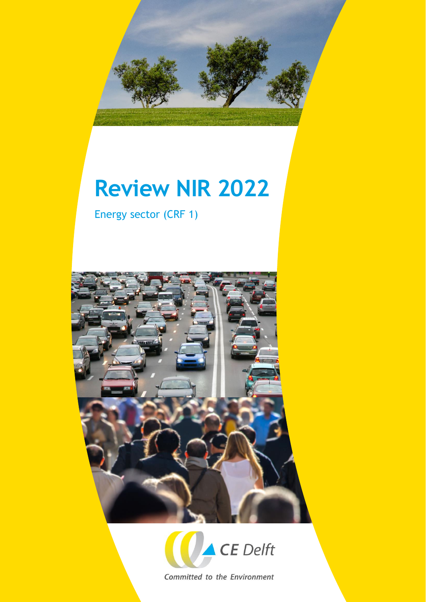

# **Review NIR 2022**

Energy sector (CRF 1)





Committed to the Environment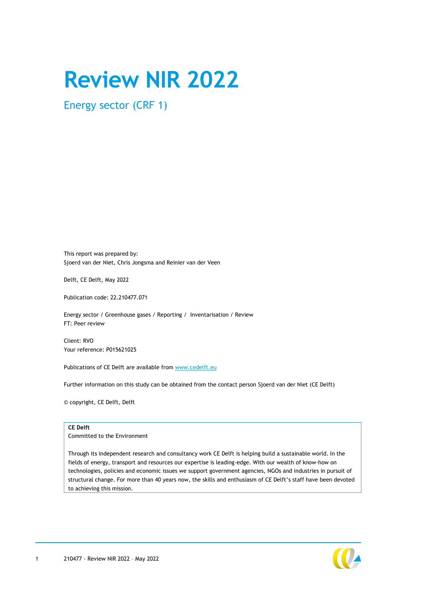# **Review NIR 2022**

Energy sector (CRF 1)

This report was prepared by: Sjoerd van der Niet, Chris Jongsma and Reinier van der Veen

Delft, CE Delft, May 2022

Publication code: 22.210477.071

Energy sector / Greenhouse gases / Reporting / Inventarisation / Review FT: Peer review

Client: RVO Your reference: P015621025

Publications of CE Delft are available from [www.cedelft.eu](http://www.cedelft.eu/)

Further information on this study can be obtained from the contact person Sjoerd van der Niet (CE Delft)

© copyright, CE Delft, Delft

#### **CE Delft**

Committed to the Environment

Through its independent research and consultancy work CE Delft is helping build a sustainable world. In the fields of energy, transport and resources our expertise is leading-edge. With our wealth of know-how on technologies, policies and economic issues we support government agencies, NGOs and industries in pursuit of structural change. For more than 40 years now, the skills and enthusiasm of CE Delft's staff have been devoted to achieving this mission.

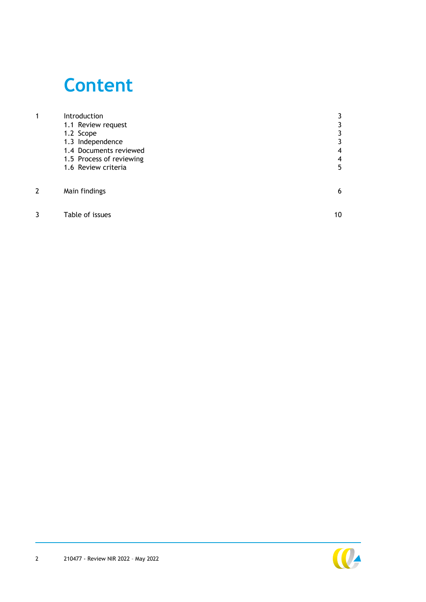# **Content**

| 1 | Introduction             |    |
|---|--------------------------|----|
|   | 1.1 Review request       |    |
|   | 1.2 Scope                | 3  |
|   | 1.3 Independence         | 3  |
|   | 1.4 Documents reviewed   | 4  |
|   | 1.5 Process of reviewing | 4  |
|   | 1.6 Review criteria      | 5  |
|   |                          |    |
| 2 | Main findings            | 6  |
| 3 | Table of issues          | 10 |
|   |                          |    |

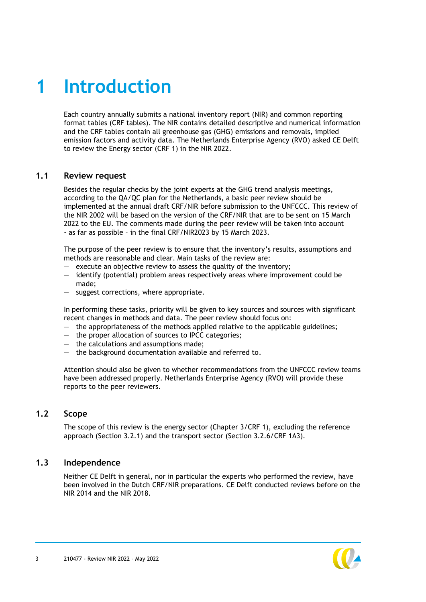# <span id="page-3-0"></span>**1 Introduction**

Each country annually submits a national inventory report (NIR) and common reporting format tables (CRF tables). The NIR contains detailed descriptive and numerical information and the CRF tables contain all greenhouse gas (GHG) emissions and removals, implied emission factors and activity data. The Netherlands Enterprise Agency (RVO) asked CE Delft to review the Energy sector (CRF 1) in the NIR 2022.

### <span id="page-3-1"></span>**1.1 Review request**

Besides the regular checks by the joint experts at the GHG trend analysis meetings, according to the QA/QC plan for the Netherlands, a basic peer review should be implemented at the annual draft CRF/NIR before submission to the UNFCCC. This review of the NIR 2002 will be based on the version of the CRF/NIR that are to be sent on 15 March 2022 to the EU. The comments made during the peer review will be taken into account - as far as possible – in the final CRF/NIR2023 by 15 March 2023.

The purpose of the peer review is to ensure that the inventory's results, assumptions and methods are reasonable and clear. Main tasks of the review are:

- $-$  execute an objective review to assess the quality of the inventory;
- identify (potential) problem areas respectively areas where improvement could be made;
- suggest corrections, where appropriate.

In performing these tasks, priority will be given to key sources and sources with significant recent changes in methods and data. The peer review should focus on:

- $-$  the appropriateness of the methods applied relative to the applicable guidelines;
- the proper allocation of sources to IPCC categories;
- the calculations and assumptions made;
- the background documentation available and referred to.

<span id="page-3-2"></span>Attention should also be given to whether recommendations from the UNFCCC review teams have been addressed properly. Netherlands Enterprise Agency (RVO) will provide these reports to the peer reviewers.

# **1.2 Scope**

<span id="page-3-3"></span>The scope of this review is the energy sector (Chapter 3/CRF 1), excluding the reference approach (Section 3.2.1) and the transport sector (Section 3.2.6/CRF 1A3).

#### **1.3 Independence**

Neither CE Delft in general, nor in particular the experts who performed the review, have been involved in the Dutch CRF/NIR preparations. CE Delft conducted reviews before on the NIR 2014 and the NIR 2018.

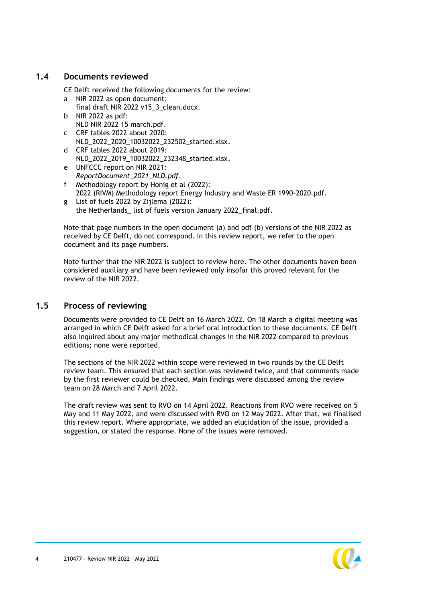# **1.4 Documents reviewed**

<span id="page-4-0"></span>CE Delft received the following documents for the review:

- a NIR 2022 as open document: final draft NIR 2022 v15\_3\_clean.docx.
- b NIR 2022 as pdf: NLD NIR 2022 15 march.pdf.
- c CRF tables 2022 about 2020: NLD\_2022\_2020\_10032022\_232502\_started.xlsx.
- d CRF tables 2022 about 2019: NLD\_2022\_2019\_10032022\_232348\_started.xlsx.
- e UNFCCC report on NIR 2021: *ReportDocument\_2021\_NLD.pdf*.
- f Methodology report by Honig et al (2022): 2022 (RIVM) Methodology report Energy Industry and Waste ER 1990-2020.pdf.
- g List of fuels 2022 by Zijlema (2022): the Netherlands list of fuels version January 2022 final.pdf.

Note that page numbers in the open document (a) and pdf (b) versions of the NIR 2022 as received by CE Delft, do not correspond. In this review report, we refer to the open document and its page numbers.

<span id="page-4-1"></span>Note further that the NIR 2022 is subject to review here. The other documents haven been considered auxiliary and have been reviewed only insofar this proved relevant for the review of the NIR 2022.

# **1.5 Process of reviewing**

Documents were provided to CE Delft on 16 March 2022. On 18 March a digital meeting was arranged in which CE Delft asked for a brief oral introduction to these documents. CE Delft also inquired about any major methodical changes in the NIR 2022 compared to previous editions; none were reported.

The sections of the NIR 2022 within scope were reviewed in two rounds by the CE Delft review team. This ensured that each section was reviewed twice, and that comments made by the first reviewer could be checked. Main findings were discussed among the review team on 28 March and 7 April 2022.

The draft review was sent to RVO on 14 April 2022. Reactions from RVO were received on 5 May and 11 May 2022, and were discussed with RVO on 12 May 2022. After that, we finalised this review report. Where appropriate, we added an elucidation of the issue, provided a suggestion, or stated the response. None of the issues were removed.

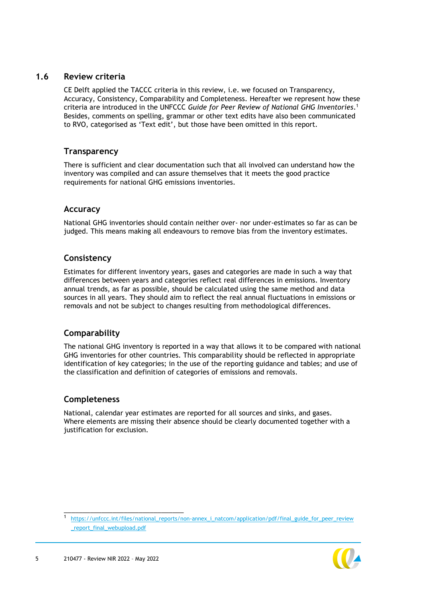### **1.6 Review criteria**

<span id="page-5-0"></span>CE Delft applied the TACCC criteria in this review, i.e. we focused on Transparency, Accuracy, Consistency, Comparability and Completeness. Hereafter we represent how these criteria are introduced in the UNFCCC *Guide for Peer Review of National GHG Inventories*. 1 Besides, comments on spelling, grammar or other text edits have also been communicated to RVO, categorised as 'Text edit', but those have been omitted in this report.

#### **Transparency**

There is sufficient and clear documentation such that all involved can understand how the inventory was compiled and can assure themselves that it meets the good practice requirements for national GHG emissions inventories.

# **Accuracy**

National GHG inventories should contain neither over- nor under-estimates so far as can be judged. This means making all endeavours to remove bias from the inventory estimates.

### **Consistency**

Estimates for different inventory years, gases and categories are made in such a way that differences between years and categories reflect real differences in emissions. Inventory annual trends, as far as possible, should be calculated using the same method and data sources in all years. They should aim to reflect the real annual fluctuations in emissions or removals and not be subject to changes resulting from methodological differences.

# **Comparability**

The national GHG inventory is reported in a way that allows it to be compared with national GHG inventories for other countries. This comparability should be reflected in appropriate identification of key categories; in the use of the reporting guidance and tables; and use of the classification and definition of categories of emissions and removals.

# **Completeness**

National, calendar year estimates are reported for all sources and sinks, and gases. Where elements are missing their absence should be clearly documented together with a justification for exclusion.

<sup>1</sup> [https://unfccc.int/files/national\\_reports/non-annex\\_i\\_natcom/application/pdf/final\\_guide\\_for\\_peer\\_review](https://unfccc.int/files/national_reports/non-annex_i_natcom/application/pdf/final_guide_for_peer_review_report_final_webupload.pdf) [\\_report\\_final\\_webupload.pdf](https://unfccc.int/files/national_reports/non-annex_i_natcom/application/pdf/final_guide_for_peer_review_report_final_webupload.pdf)



\_\_\_\_\_\_\_\_\_\_\_\_\_\_\_\_\_\_\_\_\_\_\_\_\_\_\_\_\_\_\_\_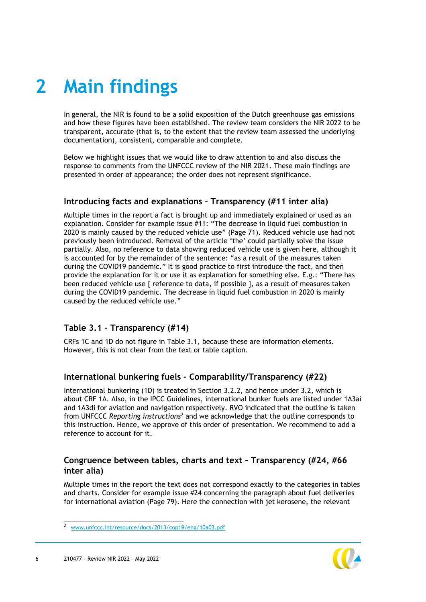# <span id="page-6-0"></span>**2 Main findings**

In general, the NIR is found to be a solid exposition of the Dutch greenhouse gas emissions and how these figures have been established. The review team considers the NIR 2022 to be transparent, accurate (that is, to the extent that the review team assessed the underlying documentation), consistent, comparable and complete.

Below we highlight issues that we would like to draw attention to and also discuss the response to comments from the UNFCCC review of the NIR 2021. These main findings are presented in order of appearance; the order does not represent significance.

# **Introducing facts and explanations – Transparency (#11 inter alia)**

Multiple times in the report a fact is brought up and immediately explained or used as an explanation. Consider for example issue #11: "The decrease in liquid fuel combustion in 2020 is mainly caused by the reduced vehicle use" (Page 71). Reduced vehicle use had not previously been introduced. Removal of the article 'the' could partially solve the issue partially. Also, no reference to data showing reduced vehicle use is given here, although it is accounted for by the remainder of the sentence: "as a result of the measures taken during the COVID19 pandemic." It is good practice to first introduce the fact, and then provide the explanation for it or use it as explanation for something else. E.g.: "There has been reduced vehicle use [ reference to data, if possible ], as a result of measures taken during the COVID19 pandemic. The decrease in liquid fuel combustion in 2020 is mainly caused by the reduced vehicle use."

# **Table 3.1 – Transparency (#14)**

CRFs 1C and 1D do not figure in Table 3.1, because these are information elements. However, this is not clear from the text or table caption.

# **International bunkering fuels – Comparability/Transparency (#22)**

International bunkering (1D) is treated in Section 3.2.2, and hence under 3.2, which is about CRF 1A. Also, in the IPCC Guidelines, international bunker fuels are listed under 1A3ai and 1A3di for aviation and navigation respectively. RVO indicated that the outline is taken from UNFCCC *Reporting instructions*<sup>2</sup> and we acknowledge that the outline corresponds to this instruction. Hence, we approve of this order of presentation. We recommend to add a reference to account for it.

# **Congruence between tables, charts and text – Transparency (#24, #66 inter alia)**

Multiple times in the report the text does not correspond exactly to the categories in tables and charts. Consider for example issue #24 concerning the paragraph about fuel deliveries for international aviation (Page 79). Here the connection with jet kerosene, the relevant

\_\_\_\_\_\_\_\_\_\_\_\_\_\_\_\_\_\_\_\_\_\_\_\_\_\_\_\_\_\_\_\_



<sup>2</sup> [www.unfccc.int/resource/docs/2013/cop19/eng/10a03.pdf](https://unfccc.int/resource/docs/2013/cop19/eng/10a03.pdf)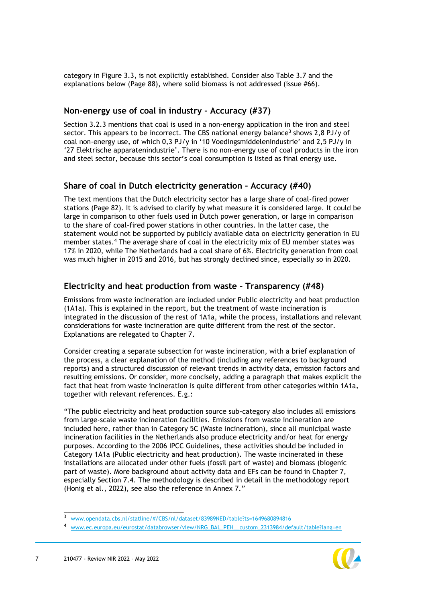category in Figure 3.3, is not explicitly established. Consider also Table 3.7 and the explanations below (Page 88), where solid biomass is not addressed (issue #66).

#### **Non-energy use of coal in industry – Accuracy (#37)**

Section 3.2.3 mentions that coal is used in a non-energy application in the iron and steel sector. This appears to be incorrect. The CBS national energy balance<sup>3</sup> shows 2,8 PJ/y of coal non-energy use, of which 0,3 PJ/y in '10 Voedingsmiddelenindustrie' and 2,5 PJ/y in '27 Elektrische apparatenindustrie'. There is no non-energy use of coal products in the iron and steel sector, because this sector's coal consumption is listed as final energy use.

### **Share of coal in Dutch electricity generation – Accuracy (#40)**

The text mentions that the Dutch electricity sector has a large share of coal-fired power stations (Page 82). It is advised to clarify by what measure it is considered large. It could be large in comparison to other fuels used in Dutch power generation, or large in comparison to the share of coal-fired power stations in other countries. In the latter case, the statement would not be supported by publicly available data on electricity generation in EU member states. <sup>4</sup> The average share of coal in the electricity mix of EU member states was 17% in 2020, while The Netherlands had a coal share of 6%. Electricity generation from coal was much higher in 2015 and 2016, but has strongly declined since, especially so in 2020.

### **Electricity and heat production from waste – Transparency (#48)**

Emissions from waste incineration are included under Public electricity and heat production (1A1a). This is explained in the report, but the treatment of waste incineration is integrated in the discussion of the rest of 1A1a, while the process, installations and relevant considerations for waste incineration are quite different from the rest of the sector. Explanations are relegated to Chapter 7.

Consider creating a separate subsection for waste incineration, with a brief explanation of the process, a clear explanation of the method (including any references to background reports) and a structured discussion of relevant trends in activity data, emission factors and resulting emissions. Or consider, more concisely, adding a paragraph that makes explicit the fact that heat from waste incineration is quite different from other categories within 1A1a, together with relevant references. E.g.:

"The public electricity and heat production source sub-category also includes all emissions from large-scale waste incineration facilities. Emissions from waste incineration are included here, rather than in Category 5C (Waste incineration), since all municipal waste incineration facilities in the Netherlands also produce electricity and/or heat for energy purposes. According to the 2006 IPCC Guidelines, these activities should be included in Category 1A1a (Public electricity and heat production). The waste incinerated in these installations are allocated under other fuels (fossil part of waste) and biomass (biogenic part of waste). More background about activity data and EFs can be found in Chapter 7, especially Section 7.4. The methodology is described in detail in the methodology report (Honig et al., 2022), see also the reference in Annex 7."

<sup>4</sup> [www.ec.europa.eu/eurostat/databrowser/view/NRG\\_BAL\\_PEH\\_\\_custom\\_2313984/default/table?lang=en](https://ec.europa.eu/eurostat/databrowser/view/NRG_BAL_PEH__custom_2313984/default/table?lang=en)



\_\_\_\_\_\_\_\_\_\_\_\_\_\_\_\_\_\_\_\_\_\_\_\_\_\_\_\_\_\_\_\_

<sup>3</sup> [www.opendata.cbs.nl/statline/#/CBS/nl/dataset/83989NED/table?ts=1649680894816](https://opendata.cbs.nl/statline/#/CBS/nl/dataset/83989NED/table?ts=1649680894816)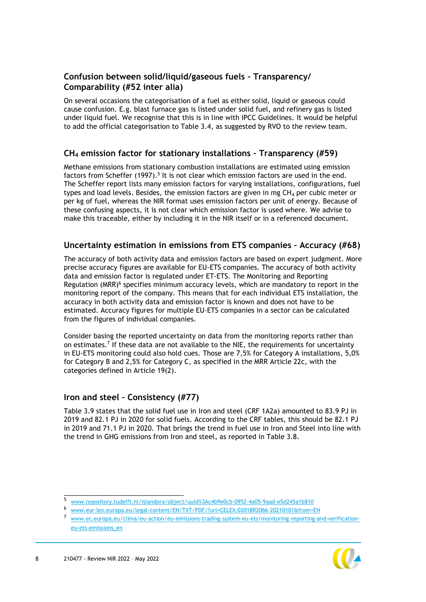# **Confusion between solid/liquid/gaseous fuels – Transparency/ Comparability (#52 inter alia)**

On several occasions the categorisation of a fuel as either solid, liquid or gaseous could cause confusion. E.g. blast furnace gas is listed under solid fuel, and refinery gas is listed under liquid fuel. We recognise that this is in line with IPCC Guidelines. It would be helpful to add the official categorisation to Table 3.4, as suggested by RVO to the review team.

# **CH<sup>4</sup> emission factor for stationary installations – Transparency (#59)**

Methane emissions from stationary combustion installations are estimated using emission factors from Scheffer (1997).<sup>5</sup> It is not clear which emission factors are used in the end. The Scheffer report lists many emission factors for varying installations, configurations, fuel types and load levels. Besides, the emission factors are given in mg  $CH<sub>4</sub>$  per cubic meter or per kg of fuel, whereas the NIR format uses emission factors per unit of energy. Because of these confusing aspects, it is not clear which emission factor is used where. We advise to make this traceable, either by including it in the NIR itself or in a referenced document.

### **Uncertainty estimation in emissions from ETS companies – Accuracy (#68)**

The accuracy of both activity data and emission factors are based on expert judgment. More precise accuracy figures are available for EU-ETS companies. The accuracy of both activity data and emission factor is regulated under ET-ETS. The Monitoring and Reporting Regulation (MRR)<sup>6</sup> specifies minimum accuracy levels, which are mandatory to report in the monitoring report of the company. This means that for each individual ETS installation, the accuracy in both activity data and emission factor is known and does not have to be estimated. Accuracy figures for multiple EU-ETS companies in a sector can be calculated from the figures of individual companies.

Consider basing the reported uncertainty on data from the monitoring reports rather than on estimates. 7 If these data are not available to the NIE, the requirements for uncertainty in EU-ETS monitoring could also hold cues. Those are 7,5% for Category A installations, 5,0% for Category B and 2,5% for Category C, as specified in the MRR Article 22c, with the categories defined in Article 19(2).

# **Iron and steel – Consistency (#77)**

\_\_\_\_\_\_\_\_\_\_\_\_\_\_\_\_\_\_\_\_\_\_\_\_\_\_\_\_\_\_\_\_

Table 3.9 states that the solid fuel use in Iron and steel (CRF 1A2a) amounted to 83.9 PJ in 2019 and 82.1 PJ in 2020 for solid fuels. According to the CRF tables, this should be 82.1 PJ in 2019 and 71.1 PJ in 2020. That brings the trend in fuel use in Iron and Steel into line with the trend in GHG emissions from Iron and steel, as reported in Table 3.8.

<sup>7</sup> [www.ec.europa.eu/clima/eu-action/eu-emissions-trading-system-eu-ets/monitoring-reporting-and-verification](https://ec.europa.eu/clima/eu-action/eu-emissions-trading-system-eu-ets/monitoring-reporting-and-verification-eu-ets-emissions_en)[eu-ets-emissions\\_en](https://ec.europa.eu/clima/eu-action/eu-emissions-trading-system-eu-ets/monitoring-reporting-and-verification-eu-ets-emissions_en)



<sup>5</sup> [www.repository.tudelft.nl/islandora/object/uuid%3Ac4b9e0cb-0952-4a05-9aad-e5d245a1b810](https://repository.tudelft.nl/islandora/object/uuid%3Ac4b9e0cb-0952-4a05-9aad-e5d245a1b810)

<sup>6</sup> [www.eur-lex.europa.eu/legal-content/EN/TXT/PDF/?uri=CELEX:02018R2066-20210101&from=EN](https://eur-lex.europa.eu/legal-content/EN/TXT/PDF/?uri=CELEX:02018R2066-20210101&from=EN)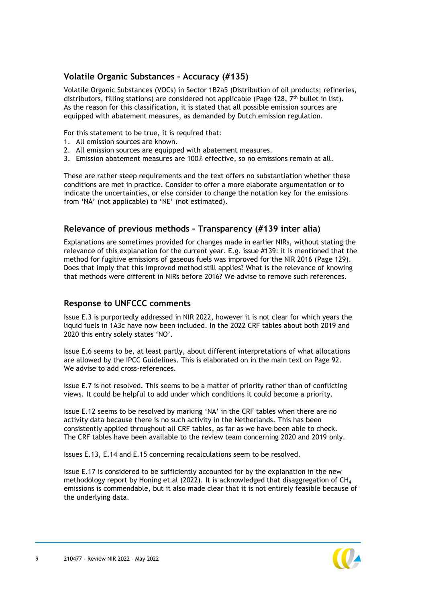# **Volatile Organic Substances – Accuracy (#135)**

Volatile Organic Substances (VOCs) in Sector 1B2a5 (Distribution of oil products; refineries, distributors, filling stations) are considered not applicable (Page 128,  $7<sup>th</sup>$  bullet in list). As the reason for this classification, it is stated that all possible emission sources are equipped with abatement measures, as demanded by Dutch emission regulation.

For this statement to be true, it is required that:

- 1. All emission sources are known.
- 2. All emission sources are equipped with abatement measures.
- 3. Emission abatement measures are 100% effective, so no emissions remain at all.

These are rather steep requirements and the text offers no substantiation whether these conditions are met in practice. Consider to offer a more elaborate argumentation or to indicate the uncertainties, or else consider to change the notation key for the emissions from 'NA' (not applicable) to 'NE' (not estimated).

# **Relevance of previous methods – Transparency (#139 inter alia)**

Explanations are sometimes provided for changes made in earlier NIRs, without stating the relevance of this explanation for the current year. E.g. issue #139: it is mentioned that the method for fugitive emissions of gaseous fuels was improved for the NIR 2016 (Page 129). Does that imply that this improved method still applies? What is the relevance of knowing that methods were different in NIRs before 2016? We advise to remove such references.

# **Response to UNFCCC comments**

Issue E.3 is purportedly addressed in NIR 2022, however it is not clear for which years the liquid fuels in 1A3c have now been included. In the 2022 CRF tables about both 2019 and 2020 this entry solely states 'NO'.

Issue E.6 seems to be, at least partly, about different interpretations of what allocations are allowed by the IPCC Guidelines. This is elaborated on in the main text on Page 92. We advise to add cross-references.

Issue E.7 is not resolved. This seems to be a matter of priority rather than of conflicting views. It could be helpful to add under which conditions it could become a priority.

Issue E.12 seems to be resolved by marking 'NA' in the CRF tables when there are no activity data because there is no such activity in the Netherlands. This has been consistently applied throughout all CRF tables, as far as we have been able to check. The CRF tables have been available to the review team concerning 2020 and 2019 only.

Issues E.13, E.14 and E.15 concerning recalculations seem to be resolved.

Issue E.17 is considered to be sufficiently accounted for by the explanation in the new methodology report by Honing et al (2022). It is acknowledged that disaggregation of CH<sub>4</sub> emissions is commendable, but it also made clear that it is not entirely feasible because of the underlying data.

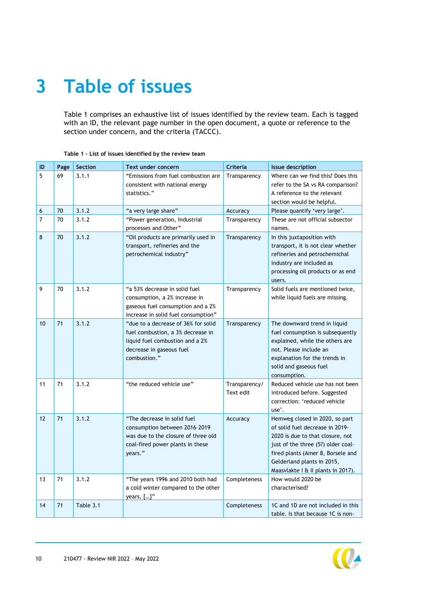# <span id="page-10-0"></span>**3 Table of issues**

[Table 1](#page-10-1) comprises an exhaustive list of issues identified by the review team. Each is tagged with an ID, the relevant page number in the open document, a quote or reference to the section under concern, and the criteria (TACCC).

| ID             | Page | Section   | Text under concern                                                                                                                                      | Criteria                   | Issue description                                                                                                                                                                                                                                    |
|----------------|------|-----------|---------------------------------------------------------------------------------------------------------------------------------------------------------|----------------------------|------------------------------------------------------------------------------------------------------------------------------------------------------------------------------------------------------------------------------------------------------|
| 5              | 69   | 3.1.1     | "Emissions from fuel combustion are<br>consistent with national energy<br>statistics."                                                                  | Transparency               | Where can we find this? Does this<br>refer to the SA vs RA comparison?<br>A reference to the relevant<br>section would be helpful.                                                                                                                   |
| 6              | 70   | 3.1.2     | "a very large share"                                                                                                                                    | Accuracy                   | Please quantify 'very large'.                                                                                                                                                                                                                        |
| $\overline{7}$ | 70   | 3.1.2     | "Power generation, Industrial<br>processes and Other"                                                                                                   | Transparency               | These are not official subsector<br>names.                                                                                                                                                                                                           |
| 8              | 70   | 3.1.2     | "Oil products are primarily used in<br>transport, refineries and the<br>petrochemical industry"                                                         | Transparency               | In this juxtaposition with<br>transport, it is not clear whether<br>refineries and petrochemichal<br>industry are included as<br>processing oil products or as end<br>users.                                                                         |
| 9              | 70   | 3.1.2     | "a 53% decrease in solid fuel<br>consumption, a 2% increase in<br>gaseous fuel consumption and a 2%<br>increase in solid fuel consumption"              | Transparency               | Solid fuels are mentioned twice,<br>while liquid fuels are missing.                                                                                                                                                                                  |
| 10             | 71   | 3.1.2     | "due to a decrease of 36% for solid<br>fuel combustion, a 3% decrease in<br>liquid fuel combustion and a 2%<br>decrease in gaseous fuel<br>combustion." | Transparency               | The downward trend in liquid<br>fuel consumption is subsequently<br>explained, while the others are<br>not. Please include an<br>explanation for the trends in<br>solid and gaseous fuel<br>consumption.                                             |
| 11             | 71   | 3.1.2     | "the reduced vehicle use"                                                                                                                               | Transparency/<br>Text edit | Reduced vehicle use has not been<br>introduced before. Suggested<br>correction: 'reduced vehicle<br>use'.                                                                                                                                            |
| 12             | 71   | 3.1.2     | "The decrease in solid fuel<br>consumption between 2016-2019<br>was due to the closure of three old<br>coal-fired power plants in these<br>years."      | Accuracy                   | Hemweg closed in 2020, so part<br>of solid fuel decrease in 2019-<br>2020 is due to that closure, not<br>just of the three (5?) older coal-<br>fired plants (Amer 8, Borsele and<br>Gelderland plants in 2015,<br>Maasvlakte I & II plants in 2017). |
| 13             | 71   | 3.1.2     | "The years 1996 and 2010 both had<br>a cold winter compared to the other<br>years. []"                                                                  | Completeness               | How would 2020 be<br>characterised?                                                                                                                                                                                                                  |
| 14             | 71   | Table 3.1 |                                                                                                                                                         | Completeness               | 1C and 1D are not included in this<br>table. Is that because 1C is non-                                                                                                                                                                              |

#### <span id="page-10-1"></span>**Table 1 – List of issues identified by the review team**

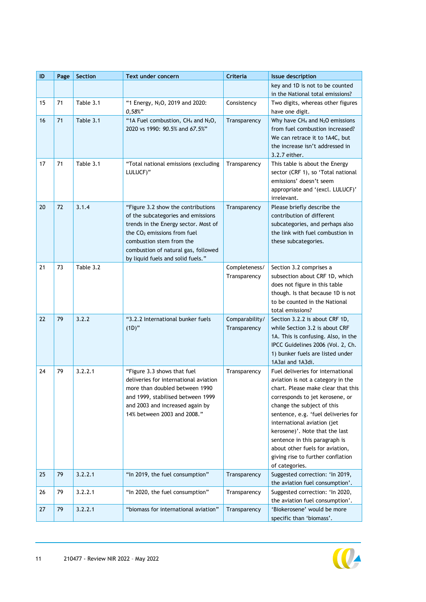| ID | Page | Section   | Text under concern                                                                                                                                                                                                                                        | Criteria                       | <b>Issue description</b>                                                                                                                                                                                                                                                                                                                                                                                         |
|----|------|-----------|-----------------------------------------------------------------------------------------------------------------------------------------------------------------------------------------------------------------------------------------------------------|--------------------------------|------------------------------------------------------------------------------------------------------------------------------------------------------------------------------------------------------------------------------------------------------------------------------------------------------------------------------------------------------------------------------------------------------------------|
|    |      |           |                                                                                                                                                                                                                                                           |                                | key and 1D is not to be counted<br>in the National total emissions?                                                                                                                                                                                                                                                                                                                                              |
| 15 | 71   | Table 3.1 | "1 Energy, N <sub>2</sub> O, 2019 and 2020:<br>$0,58\%$ "                                                                                                                                                                                                 | Consistency                    | Two digits, whereas other figures<br>have one digit.                                                                                                                                                                                                                                                                                                                                                             |
| 16 | 71   | Table 3.1 | "1A Fuel combustion, CH <sub>4</sub> and N <sub>2</sub> O,<br>2020 vs 1990: 90.5% and 67.5%"                                                                                                                                                              | Transparency                   | Why have $CH_4$ and $N_2O$ emissions<br>from fuel combustion increased?<br>We can retrace it to 1A4C, but<br>the increase isn't addressed in<br>3.2.7 either.                                                                                                                                                                                                                                                    |
| 17 | 71   | Table 3.1 | "Total national emissions (excluding<br>LULUCF)"                                                                                                                                                                                                          | Transparency                   | This table is about the Energy<br>sector (CRF 1), so 'Total national<br>emissions' doesn't seem<br>appropriate and '(excl. LULUCF)'<br>irrelevant.                                                                                                                                                                                                                                                               |
| 20 | 72   | 3.1.4     | "Figure 3.2 show the contributions<br>of the subcategories and emissions<br>trends in the Energy sector. Most of<br>the $CO2$ emissions from fuel<br>combustion stem from the<br>combustion of natural gas, followed<br>by liquid fuels and solid fuels." | Transparency                   | Please briefly describe the<br>contribution of different<br>subcategories, and perhaps also<br>the link with fuel combustion in<br>these subcategories.                                                                                                                                                                                                                                                          |
| 21 | 73   | Table 3.2 |                                                                                                                                                                                                                                                           | Completeness/<br>Transparency  | Section 3.2 comprises a<br>subsection about CRF 1D, which<br>does not figure in this table<br>though. Is that because 1D is not<br>to be counted in the National<br>total emissions?                                                                                                                                                                                                                             |
| 22 | 79   | 3.2.2     | "3.2.2 International bunker fuels<br>$(1D)$ "                                                                                                                                                                                                             | Comparability/<br>Transparency | Section 3.2.2 is about CRF 1D,<br>while Section 3.2 is about CRF<br>1A. This is confusing. Also, in the<br>IPCC Guidelines 2006 (Vol. 2, Ch.<br>1) bunker fuels are listed under<br>1A3ai and 1A3di.                                                                                                                                                                                                             |
| 24 | 79   | 3.2.2.1   | "Figure 3.3 shows that fuel<br>deliveries for international aviation<br>more than doubled between 1990<br>and 1999, stabilised between 1999<br>and 2003 and increased again by<br>14% between 2003 and 2008."                                             | Transparency                   | Fuel deliveries for international<br>aviation is not a category in the<br>chart. Please make clear that this<br>corresponds to jet kerosene, or<br>change the subject of this<br>sentence, e.g. 'fuel deliveries for<br>international aviation (jet<br>kerosene)'. Note that the last<br>sentence in this paragraph is<br>about other fuels for aviation,<br>giving rise to further conflation<br>of categories. |
| 25 | 79   | 3.2.2.1   | "In 2019, the fuel consumption"                                                                                                                                                                                                                           | Transparency                   | Suggested correction: 'In 2019,<br>the aviation fuel consumption'.                                                                                                                                                                                                                                                                                                                                               |
| 26 | 79   | 3.2.2.1   | "In 2020, the fuel consumption"                                                                                                                                                                                                                           | Transparency                   | Suggested correction: 'In 2020,<br>the aviation fuel consumption'.                                                                                                                                                                                                                                                                                                                                               |
| 27 | 79   | 3.2.2.1   | "biomass for international aviation"                                                                                                                                                                                                                      | Transparency                   | 'Biokerosene' would be more<br>specific than 'biomass'.                                                                                                                                                                                                                                                                                                                                                          |

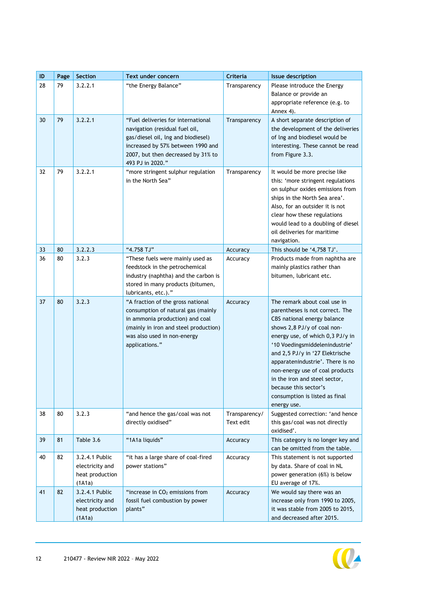| ID | Page | Section                                                        | Text under concern                                                                                                                                                                                        | Criteria                   | <b>Issue description</b>                                                                                                                                                                                                                                                                                                                                                                                                 |
|----|------|----------------------------------------------------------------|-----------------------------------------------------------------------------------------------------------------------------------------------------------------------------------------------------------|----------------------------|--------------------------------------------------------------------------------------------------------------------------------------------------------------------------------------------------------------------------------------------------------------------------------------------------------------------------------------------------------------------------------------------------------------------------|
| 28 | 79   | 3.2.2.1                                                        | "the Energy Balance"                                                                                                                                                                                      | Transparency               | Please introduce the Energy<br>Balance or provide an<br>appropriate reference (e.g. to<br>Annex 4).                                                                                                                                                                                                                                                                                                                      |
| 30 | 79   | 3.2.2.1                                                        | "Fuel deliveries for international<br>navigation (residual fuel oil,<br>gas/diesel oil, Ing and biodiesel)<br>increased by 57% between 1990 and<br>2007, but then decreased by 31% to<br>493 PJ in 2020." | Transparency               | A short separate description of<br>the development of the deliveries<br>of lng and biodiesel would be<br>interesting. These cannot be read<br>from Figure 3.3.                                                                                                                                                                                                                                                           |
| 32 | 79   | 3.2.2.1                                                        | "more stringent sulphur regulation<br>in the North Sea"                                                                                                                                                   | Transparency               | It would be more precise like<br>this: 'more stringent regulations<br>on sulphur oxides emissions from<br>ships in the North Sea area'.<br>Also, for an outsider it is not<br>clear how these regulations<br>would lead to a doubling of diesel<br>oil deliveries for maritime<br>navigation.                                                                                                                            |
| 33 | 80   | 3.2.2.3                                                        | "4.758 TJ"                                                                                                                                                                                                | Accuracy                   | This should be '4,758 TJ'.                                                                                                                                                                                                                                                                                                                                                                                               |
| 36 | 80   | 3.2.3                                                          | "These fuels were mainly used as<br>feedstock in the petrochemical<br>industry (naphtha) and the carbon is<br>stored in many products (bitumen,<br>lubricants, etc.)."                                    | Accuracy                   | Products made from naphtha are<br>mainly plastics rather than<br>bitumen, lubricant etc.                                                                                                                                                                                                                                                                                                                                 |
| 37 | 80   | 3.2.3                                                          | "A fraction of the gross national<br>consumption of natural gas (mainly<br>in ammonia production) and coal<br>(mainly in iron and steel production)<br>was also used in non-energy<br>applications."      | Accuracy                   | The remark about coal use in<br>parentheses is not correct. The<br>CBS national energy balance<br>shows 2,8 PJ/y of coal non-<br>energy use, of which 0,3 PJ/y in<br>'10 Voedingsmiddelenindustrie'<br>and 2,5 PJ/y in '27 Elektrische<br>apparatenindustrie'. There is no<br>non-energy use of coal products<br>in the iron and steel sector,<br>because this sector's<br>consumption is listed as final<br>energy use. |
| 38 | 80   | 3.2.3                                                          | "and hence the gas/coal was not<br>directly oxidised"                                                                                                                                                     | Transparency/<br>Text edit | Suggested correction: 'and hence<br>this gas/coal was not directly<br>oxidised'.                                                                                                                                                                                                                                                                                                                                         |
| 39 | 81   | Table 3.6                                                      | "1A1a liquids"                                                                                                                                                                                            | Accuracy                   | This category is no longer key and<br>can be omitted from the table.                                                                                                                                                                                                                                                                                                                                                     |
| 40 | 82   | 3.2.4.1 Public<br>electricity and<br>heat production<br>(1A1a) | "it has a large share of coal-fired<br>power stations"                                                                                                                                                    | Accuracy                   | This statement is not supported<br>by data. Share of coal in NL<br>power generation (6%) is below<br>EU average of 17%.                                                                                                                                                                                                                                                                                                  |
| 41 | 82   | 3.2.4.1 Public<br>electricity and<br>heat production<br>(1A1a) | "increase in $CO2$ emissions from<br>fossil fuel combustion by power<br>plants"                                                                                                                           | Accuracy                   | We would say there was an<br>increase only from 1990 to 2005,<br>it was stable from 2005 to 2015,<br>and decreased after 2015.                                                                                                                                                                                                                                                                                           |

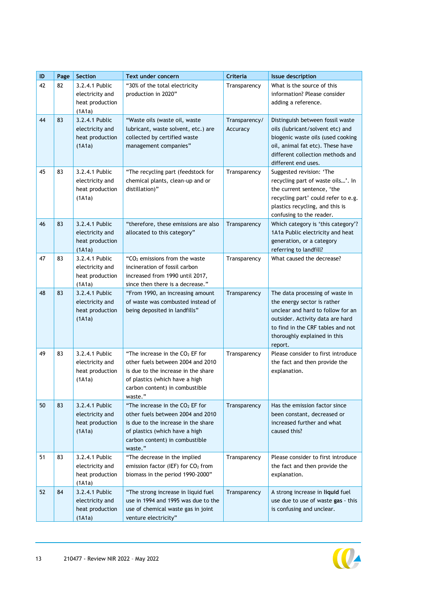| ID | Page | Section                                                        | Text under concern                                                                                                                                                                           | Criteria                  | <b>Issue description</b>                                                                                                                                                                                                |
|----|------|----------------------------------------------------------------|----------------------------------------------------------------------------------------------------------------------------------------------------------------------------------------------|---------------------------|-------------------------------------------------------------------------------------------------------------------------------------------------------------------------------------------------------------------------|
| 42 | 82   | 3.2.4.1 Public<br>electricity and<br>heat production<br>(1A1a) | "30% of the total electricity<br>production in 2020"                                                                                                                                         | Transparency              | What is the source of this<br>information? Please consider<br>adding a reference.                                                                                                                                       |
| 44 | 83   | 3.2.4.1 Public<br>electricity and<br>heat production<br>(1A1a) | "Waste oils (waste oil, waste<br>lubricant, waste solvent, etc.) are<br>collected by certified waste<br>management companies"                                                                | Transparency/<br>Accuracy | Distinguish between fossil waste<br>oils (lubricant/solvent etc) and<br>biogenic waste oils (used cooking<br>oil, animal fat etc). These have<br>different collection methods and<br>different end uses.                |
| 45 | 83   | 3.2.4.1 Public<br>electricity and<br>heat production<br>(1A1a) | "The recycling part (feedstock for<br>chemical plants, clean-up and or<br>distillation)"                                                                                                     | Transparency              | Suggested revision: 'The<br>recycling part of waste oils'. In<br>the current sentence, 'the<br>recycling part' could refer to e.g.<br>plastics recycling, and this is<br>confusing to the reader.                       |
| 46 | 83   | 3.2.4.1 Public<br>electricity and<br>heat production<br>(1A1a) | "therefore, these emissions are also<br>allocated to this category"                                                                                                                          | Transparency              | Which category is 'this category'?<br>1A1a Public electricity and heat<br>generation, or a category<br>referring to landfill?                                                                                           |
| 47 | 83   | 3.2.4.1 Public<br>electricity and<br>heat production<br>(1A1a) | " $CO2$ emissions from the waste<br>incineration of fossil carbon<br>increased from 1990 until 2017,<br>since then there is a decrease."                                                     | Transparency              | What caused the decrease?                                                                                                                                                                                               |
| 48 | 83   | 3.2.4.1 Public<br>electricity and<br>heat production<br>(1A1a) | "From 1990, an increasing amount<br>of waste was combusted instead of<br>being deposited in landfills"                                                                                       | Transparency              | The data processing of waste in<br>the energy sector is rather<br>unclear and hard to follow for an<br>outsider. Activity data are hard<br>to find in the CRF tables and not<br>thoroughly explained in this<br>report. |
| 49 | 83   | 3.2.4.1 Public<br>electricity and<br>heat production<br>(1A1a) | "The increase in the $CO2$ EF for<br>other fuels between 2004 and 2010<br>is due to the increase in the share<br>of plastics (which have a high<br>carbon content) in combustible<br>waste." | Transparency              | Please consider to first introduce<br>the fact and then provide the<br>explanation.                                                                                                                                     |
| 50 | 83   | 3.2.4.1 Public<br>electricity and<br>heat production<br>(1A1a) | "The increase in the $CO2$ EF for<br>other fuels between 2004 and 2010<br>is due to the increase in the share<br>of plastics (which have a high<br>carbon content) in combustible<br>waste." | Transparency              | Has the emission factor since<br>been constant, decreased or<br>increased further and what<br>caused this?                                                                                                              |
| 51 | 83   | 3.2.4.1 Public<br>electricity and<br>heat production<br>(1A1a) | "The decrease in the implied<br>emission factor (IEF) for CO <sub>2</sub> from<br>biomass in the period 1990-2000"                                                                           | Transparency              | Please consider to first introduce<br>the fact and then provide the<br>explanation.                                                                                                                                     |
| 52 | 84   | 3.2.4.1 Public<br>electricity and<br>heat production<br>(1A1a) | "The strong increase in liquid fuel<br>use in 1994 and 1995 was due to the<br>use of chemical waste gas in joint<br>venture electricity"                                                     | Transparency              | A strong increase in liquid fuel<br>use due to use of waste gas - this<br>is confusing and unclear.                                                                                                                     |

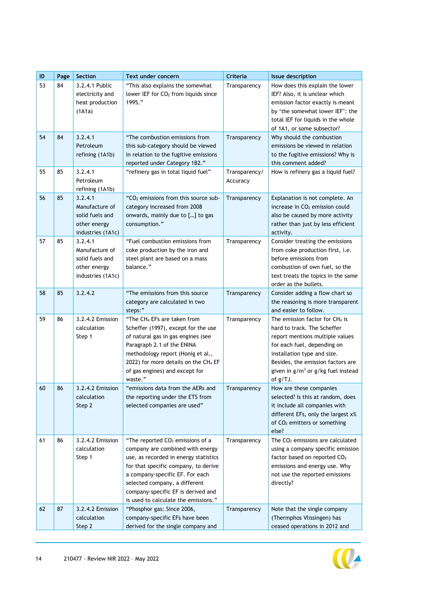| $\sf ID$ | Page | Section                                                                           | Text under concern                                                                                                                                                                                                                                                                                                  | Criteria                  | <b>Issue description</b>                                                                                                                                                                                                                                     |
|----------|------|-----------------------------------------------------------------------------------|---------------------------------------------------------------------------------------------------------------------------------------------------------------------------------------------------------------------------------------------------------------------------------------------------------------------|---------------------------|--------------------------------------------------------------------------------------------------------------------------------------------------------------------------------------------------------------------------------------------------------------|
| 53       | 84   | 3.2.4.1 Public<br>electricity and<br>heat production<br>(1A1a)                    | "This also explains the somewhat<br>lower IEF for CO <sub>2</sub> from liquids since<br>1995."                                                                                                                                                                                                                      | Transparency              | How does this explain the lower<br>IEF? Also, it is unclear which<br>emission factor exactly is meant<br>by 'the somewhat lower IEF': the<br>total IEF for liquids in the whole<br>of 1A1, or some subsector?                                                |
| 54       | 84   | 3.2.4.1<br>Petroleum<br>refining (1A1b)                                           | "The combustion emissions from<br>this sub-category should be viewed<br>in relation to the fugitive emissions<br>reported under Category 1B2."                                                                                                                                                                      | Transparency              | Why should the combustion<br>emissions be viewed in relation<br>to the fugitive emissions? Why is<br>this comment added?                                                                                                                                     |
| 55       | 85   | 3.2.4.1<br>Petroleum<br>refining (1A1b)                                           | "refinery gas in total liquid fuel"                                                                                                                                                                                                                                                                                 | Transparency/<br>Accuracy | How is refinery gas a liquid fuel?                                                                                                                                                                                                                           |
| 56       | 85   | 3.2.4.1<br>Manufacture of<br>solid fuels and<br>other energy<br>industries (1A1c) | "CO <sub>2</sub> emissions from this source sub-<br>category increased from 2008<br>onwards, mainly due to [] to gas<br>consumption."                                                                                                                                                                               | Transparency              | Explanation is not complete. An<br>increase in CO <sub>2</sub> emission could<br>also be caused by more activity<br>rather than just by less efficient<br>activity.                                                                                          |
| 57       | 85   | 3.2.4.1<br>Manufacture of<br>solid fuels and<br>other energy<br>industries (1A1c) | "Fuel combustion emissions from<br>coke production by the iron and<br>steel plant are based on a mass<br>balance."                                                                                                                                                                                                  | Transparency              | Consider treating the emissions<br>from coke production first, i.e.<br>before emissions from<br>combustion of own fuel, so the<br>text treats the topics in the same<br>order as the bullets.                                                                |
| 58       | 85   | 3.2.4.2                                                                           | "The emissions from this source<br>category are calculated in two<br>steps:"                                                                                                                                                                                                                                        | Transparency              | Consider adding a flow chart so<br>the reasoning is more transparent<br>and easier to follow.                                                                                                                                                                |
| 59       | 86   | 3.2.4.2 Emission<br>calculation<br>Step 1                                         | "The CH <sub>4</sub> EFs are taken from<br>Scheffer (1997), except for the use<br>of natural gas in gas engines (see<br>Paragraph 2.1 of the ENINA<br>methodology report (Honig et al.,<br>2022) for more details on the CH <sub>4</sub> EF<br>of gas engines) and except for<br>waste."                            | Transparency              | The emission factor for $CH4$ is<br>hard to track. The Scheffer<br>report mentions multiple values<br>for each fuel, depending on<br>installation type and size.<br>Besides, the emission factors are<br>given in $g/m^3$ or $g/kg$ fuel instead<br>of g/TJ. |
| 60       | 86   | 3.2.4.2 Emission<br>calculation<br>Step 2                                         | "emissions data from the AERs and<br>the reporting under the ETS from<br>selected companies are used"                                                                                                                                                                                                               | Transparency              | How are these companies<br>selected? Is this at random, does<br>it include all companies with<br>different EFs, only the largest x%<br>of CO <sub>2</sub> emitters or something<br>else?                                                                     |
| 61       | 86   | 3.2.4.2 Emission<br>calculation<br>Step 1                                         | "The reported CO <sub>2</sub> emissions of a<br>company are combined with energy<br>use, as recorded in energy statistics<br>for that specific company, to derive<br>a company-specific EF. For each<br>selected company, a different<br>company-specific EF is derived and<br>is used to calculate the emissions." | Transparency              | The CO <sub>2</sub> emissions are calculated<br>using a company specific emission<br>factor based on reported CO <sub>2</sub><br>emissions and energy use. Why<br>not use the reported emissions<br>directly?                                                |
| 62       | 87   | 3.2.4.2 Emission<br>calculation<br>Step 2                                         | "Phosphor gas: Since 2006,<br>company-specific EFs have been<br>derived for the single company and                                                                                                                                                                                                                  | Transparency              | Note that the single company<br>(Thermphos Vlissingen) has<br>ceased operations in 2012 and                                                                                                                                                                  |

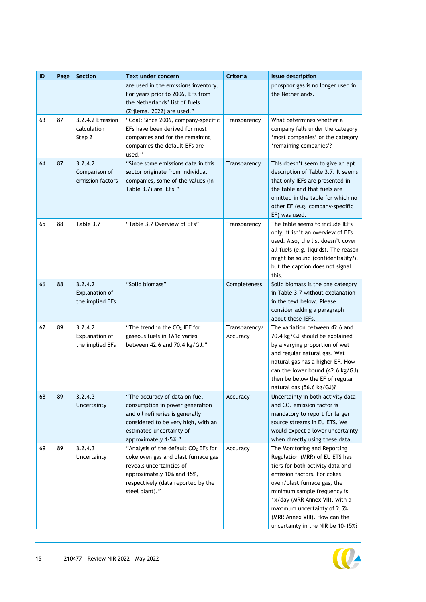| ID | Page | Section                                      | Text under concern                                                                                                                                                                             | Criteria                  | <b>Issue description</b>                                                                                                                                                                                                                                                                                                               |
|----|------|----------------------------------------------|------------------------------------------------------------------------------------------------------------------------------------------------------------------------------------------------|---------------------------|----------------------------------------------------------------------------------------------------------------------------------------------------------------------------------------------------------------------------------------------------------------------------------------------------------------------------------------|
|    |      |                                              | are used in the emissions inventory.<br>For years prior to 2006, EFs from<br>the Netherlands' list of fuels<br>(Zijlema, 2022) are used."                                                      |                           | phosphor gas is no longer used in<br>the Netherlands.                                                                                                                                                                                                                                                                                  |
| 63 | 87   | 3.2.4.2 Emission<br>calculation<br>Step 2    | "Coal: Since 2006, company-specific<br>EFs have been derived for most<br>companies and for the remaining<br>companies the default EFs are<br>used."                                            | Transparency              | What determines whether a<br>company falls under the category<br>'most companies' or the category<br>'remaining companies'?                                                                                                                                                                                                            |
| 64 | 87   | 3.2.4.2<br>Comparison of<br>emission factors | "Since some emissions data in this<br>sector originate from individual<br>companies, some of the values (in<br>Table 3.7) are IEFs."                                                           | Transparency              | This doesn't seem to give an apt<br>description of Table 3.7. It seems<br>that only IEFs are presented in<br>the table and that fuels are<br>omitted in the table for which no<br>other EF (e.g. company-specific<br>EF) was used.                                                                                                     |
| 65 | 88   | Table 3.7                                    | "Table 3.7 Overview of EFs"                                                                                                                                                                    | Transparency              | The table seems to include IEFs<br>only, it isn't an overview of EFs<br>used. Also, the list doesn't cover<br>all fuels (e.g. liquids). The reason<br>might be sound (confidentiality?),<br>but the caption does not signal<br>this.                                                                                                   |
| 66 | 88   | 3.2.4.2<br>Explanation of<br>the implied EFs | "Solid biomass"                                                                                                                                                                                | Completeness              | Solid biomass is the one category<br>in Table 3.7 without explanation<br>in the text below. Please<br>consider adding a paragraph<br>about these IEFs.                                                                                                                                                                                 |
| 67 | 89   | 3.2.4.2<br>Explanation of<br>the implied EFs | "The trend in the CO <sub>2</sub> IEF for<br>gaseous fuels in 1A1c varies<br>between 42.6 and 70.4 kg/GJ."                                                                                     | Transparency/<br>Accuracy | The variation between 42.6 and<br>70.4 kg/GJ should be explained<br>by a varying proportion of wet<br>and regular natural gas. Wet<br>natural gas has a higher EF. How<br>can the lower bound (42.6 kg/GJ)<br>then be below the EF of regular<br>natural gas (56.6 kg/GJ)?                                                             |
| 68 | 89   | 3.2.4.3<br>Uncertainty                       | "The accuracy of data on fuel<br>consumption in power generation<br>and oil refineries is generally<br>considered to be very high, with an<br>estimated uncertainty of<br>approximately 1-5%." | Accuracy                  | Uncertainty in both activity data<br>and CO <sub>2</sub> emission factor is<br>mandatory to report for larger<br>source streams in EU ETS. We<br>would expect a lower uncertainty<br>when directly using these data.                                                                                                                   |
| 69 | 89   | 3.2.4.3<br>Uncertainty                       | "Analysis of the default CO2 EFs for<br>coke oven gas and blast furnace gas<br>reveals uncertainties of<br>approximately 10% and 15%,<br>respectively (data reported by the<br>steel plant)."  | Accuracy                  | The Monitoring and Reporting<br>Regulation (MRR) of EU ETS has<br>tiers for both activity data and<br>emission factors. For cokes<br>oven/blast furnace gas, the<br>minimum sample frequency is<br>1x/day (MRR Annex VII), with a<br>maximum uncertainty of 2,5%<br>(MRR Annex VIII). How can the<br>uncertainty in the NIR be 10-15%? |

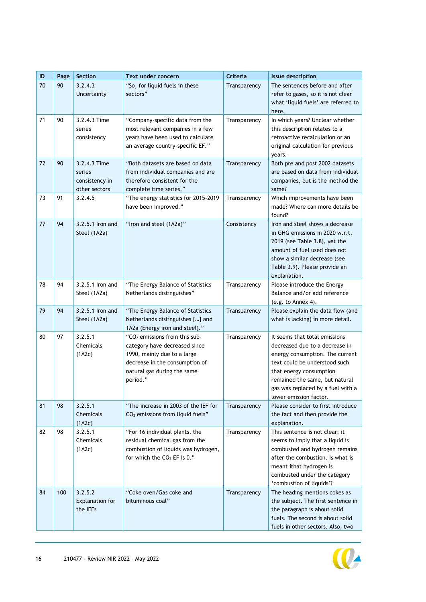| $\sf ID$ | Page | Section                                                   | <b>Text under concern</b>                                                                                                                                                              | Criteria     | <b>Issue description</b>                                                                                                                                                                                                                                        |
|----------|------|-----------------------------------------------------------|----------------------------------------------------------------------------------------------------------------------------------------------------------------------------------------|--------------|-----------------------------------------------------------------------------------------------------------------------------------------------------------------------------------------------------------------------------------------------------------------|
| 70       | 90   | 3.2.4.3<br>Uncertainty                                    | "So, for liquid fuels in these<br>sectors"                                                                                                                                             | Transparency | The sentences before and after<br>refer to gases, so it is not clear<br>what 'liquid fuels' are referred to<br>here.                                                                                                                                            |
| 71       | 90   | 3.2.4.3 Time<br>series<br>consistency                     | "Company-specific data from the<br>most relevant companies in a few<br>years have been used to calculate<br>an average country-specific EF."                                           | Transparency | In which years? Unclear whether<br>this description relates to a<br>retroactive recalculation or an<br>original calculation for previous<br>years.                                                                                                              |
| 72       | 90   | 3.2.4.3 Time<br>series<br>consistency in<br>other sectors | "Both datasets are based on data<br>from individual companies and are<br>therefore consistent for the<br>complete time series."                                                        | Transparency | Both pre and post 2002 datasets<br>are based on data from individual<br>companies, but is the method the<br>same?                                                                                                                                               |
| 73       | 91   | 3.2.4.5                                                   | "The energy statistics for 2015-2019<br>have been improved."                                                                                                                           | Transparency | Which improvements have been<br>made? Where can more details be<br>found?                                                                                                                                                                                       |
| 77       | 94   | 3.2.5.1 Iron and<br>Steel (1A2a)                          | "Iron and steel (1A2a)"                                                                                                                                                                | Consistency  | Iron and steel shows a decrease<br>in GHG emissions in 2020 w.r.t.<br>2019 (see Table 3.8), yet the<br>amount of fuel used does not<br>show a similar decrease (see<br>Table 3.9). Please provide an<br>explanation.                                            |
| 78       | 94   | 3.2.5.1 Iron and<br>Steel (1A2a)                          | "The Energy Balance of Statistics<br>Netherlands distinguishes"                                                                                                                        | Transparency | Please introduce the Energy<br>Balance and/or add reference<br>(e.g. to Annex 4).                                                                                                                                                                               |
| 79       | 94   | 3.2.5.1 Iron and<br>Steel (1A2a)                          | "The Energy Balance of Statistics<br>Netherlands distinguishes [] and<br>1A2a (Energy iron and steel)."                                                                                | Transparency | Please explain the data flow (and<br>what is lacking) in more detail.                                                                                                                                                                                           |
| 80       | 97   | 3.2.5.1<br>Chemicals<br>(1A2c)                            | "CO <sub>2</sub> emissions from this sub-<br>category have decreased since<br>1990, mainly due to a large<br>decrease in the consumption of<br>natural gas during the same<br>period." | Transparency | It seems that total emissions<br>decreased due to a decrease in<br>energy consumption. The current<br>text could be understood such<br>that energy consumption<br>remained the same, but natural<br>gas was replaced by a fuel with a<br>lower emission factor. |
| 81       | 98   | 3.2.5.1<br>Chemicals<br>(1A2c)                            | "The increase in 2003 of the IEF for<br>$CO2$ emissions from liquid fuels"                                                                                                             | Transparency | Please consider to first introduce<br>the fact and then provide the<br>explanation.                                                                                                                                                                             |
| 82       | 98   | 3.2.5.1<br>Chemicals<br>(1A2c)                            | "For 16 individual plants, the<br>residual chemical gas from the<br>combustion of liquids was hydrogen,<br>for which the $CO2$ EF is 0."                                               | Transparency | This sentence is not clear: it<br>seems to imply that a liquid is<br>combusted and hydrogen remains<br>after the combustion. Is what is<br>meant ithat hydrogen is<br>combusted under the category<br>'combustion of liquids'?                                  |
| 84       | 100  | 3.2.5.2<br><b>Explanation for</b><br>the IEFs             | "Coke oven/Gas coke and<br>bituminous coal"                                                                                                                                            | Transparency | The heading mentions cokes as<br>the subject. The first sentence in<br>the paragraph is about solid<br>fuels. The second is about solid<br>fuels in other sectors. Also, two                                                                                    |

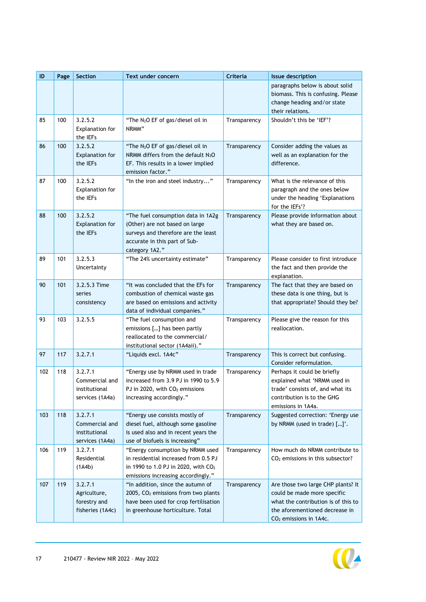| ID  | Page | Section                                                       | Text under concern                                                                                                                                                 | Criteria     | <b>Issue description</b>                                                                                                                                                         |
|-----|------|---------------------------------------------------------------|--------------------------------------------------------------------------------------------------------------------------------------------------------------------|--------------|----------------------------------------------------------------------------------------------------------------------------------------------------------------------------------|
|     |      |                                                               |                                                                                                                                                                    |              | paragraphs below is about solid<br>biomass. This is confusing. Please<br>change heading and/or state<br>their relations.                                                         |
| 85  | 100  | 3.2.5.2<br>Explanation for<br>the IEFs                        | "The N <sub>2</sub> O EF of gas/diesel oil in<br>NRMM"                                                                                                             | Transparency | Shouldn't this be 'IEF'?                                                                                                                                                         |
| 86  | 100  | 3.2.5.2<br>Explanation for<br>the IEFs                        | "The N <sub>2</sub> O EF of gas/diesel oil in<br>NRMM differs from the default $N_2O$<br>EF. This results in a lower implied<br>emission factor."                  | Transparency | Consider adding the values as<br>well as an explanation for the<br>difference.                                                                                                   |
| 87  | 100  | 3.2.5.2<br>Explanation for<br>the IEFs                        | "In the iron and steel industry"                                                                                                                                   | Transparency | What is the relevance of this<br>paragraph and the ones below<br>under the heading 'Explanations<br>for the IEFs'?                                                               |
| 88  | 100  | 3.2.5.2<br><b>Explanation for</b><br>the IEFs                 | "The fuel consumption data in 1A2g<br>(Other) are not based on large<br>surveys and therefore are the least<br>accurate in this part of Sub-<br>category 1A2."     | Transparency | Please provide information about<br>what they are based on.                                                                                                                      |
| 89  | 101  | 3.2.5.3<br>Uncertainty                                        | "The 24% uncertainty estimate"                                                                                                                                     | Transparency | Please consider to first introduce<br>the fact and then provide the<br>explanation.                                                                                              |
| 90  | 101  | 3.2.5.3 Time<br>series<br>consistency                         | "It was concluded that the EFs for<br>combustion of chemical waste gas<br>are based on emissions and activity<br>data of individual companies."                    | Transparency | The fact that they are based on<br>these data is one thing, but is<br>that appropriate? Should they be?                                                                          |
| 93  | 103  | 3.2.5.5                                                       | "The fuel consumption and<br>emissions [] has been partly<br>reallocated to the commercial/<br>institutional sector (1A4aii)."                                     | Transparency | Please give the reason for this<br>reallocation.                                                                                                                                 |
| 97  | 117  | 3.2.7.1                                                       | "Liquids excl. 1A4c"                                                                                                                                               | Transparency | This is correct but confusing.<br>Consider reformulation.                                                                                                                        |
| 102 | 118  | 3.2.7.1<br>Commercial and<br>institutional<br>services (1A4a) | "Energy use by NRMM used in trade<br>increased from 3.9 PJ in 1990 to 5.9<br>PJ in 2020, with $CO2$ emissions<br>increasing accordingly."                          | Transparency | Perhaps it could be briefly<br>explained what 'NRMM used in<br>trade' consists of, and what its<br>contribution is to the GHG<br>emissions in 1A4a.                              |
| 103 | 118  | 3.2.7.1<br>Commercial and<br>institutional<br>services (1A4a) | "Energy use consists mostly of<br>diesel fuel, although some gasoline<br>is used also and in recent years the<br>use of biofuels is increasing"                    | Transparency | Suggested correction: 'Energy use<br>by NRMM (used in trade) []'.                                                                                                                |
| 106 | 119  | 3.2.7.1<br>Residential<br>(1A4b)                              | "Energy consumption by NRMM used<br>in residential increased from 0.5 PJ<br>in 1990 to 1.0 PJ in 2020, with CO <sub>2</sub><br>emissions increasing accordingly."  | Transparency | How much do NRMM contribute to<br>CO <sub>2</sub> emissions in this subsector?                                                                                                   |
| 107 | 119  | 3.2.7.1<br>Agriculture,<br>forestry and<br>fisheries (1A4c)   | "In addition, since the autumn of<br>2005, CO <sub>2</sub> emissions from two plants<br>have been used for crop fertilisation<br>in greenhouse horticulture. Total | Transparency | Are those two large CHP plants? It<br>could be made more specific<br>what the contribution is of this to<br>the aforementioned decrease in<br>CO <sub>2</sub> emissions in 1A4c. |

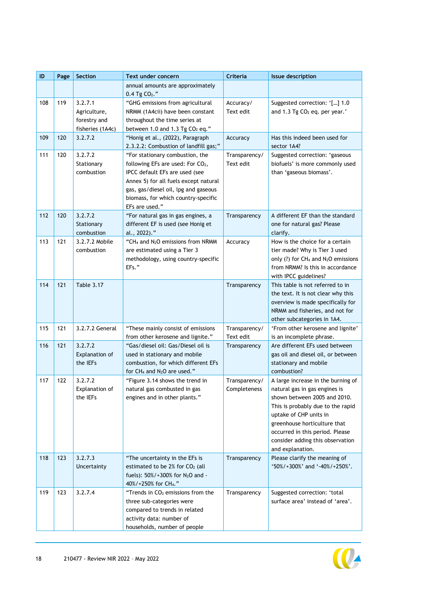| ID  | Page | Section                                                     | Text under concern                                                                                                                                                                                                                              | Criteria                      | <b>Issue description</b>                                                                                                                                                                                                                                                                      |
|-----|------|-------------------------------------------------------------|-------------------------------------------------------------------------------------------------------------------------------------------------------------------------------------------------------------------------------------------------|-------------------------------|-----------------------------------------------------------------------------------------------------------------------------------------------------------------------------------------------------------------------------------------------------------------------------------------------|
|     |      |                                                             | annual amounts are approximately<br>$0.4$ Tg $CO2$ ."                                                                                                                                                                                           |                               |                                                                                                                                                                                                                                                                                               |
| 108 | 119  | 3.2.7.1<br>Agriculture,<br>forestry and<br>fisheries (1A4c) | "GHG emissions from agricultural<br>NRMM (1A4cii) have been constant<br>throughout the time series at<br>between 1.0 and 1.3 Tg $CO2$ eq."                                                                                                      | Accuracy/<br>Text edit        | Suggested correction: '[] 1.0<br>and 1.3 Tg CO <sub>2</sub> eq. per year.'                                                                                                                                                                                                                    |
| 109 | 120  | 3.2.7.2                                                     | "Honig et al., (2022), Paragraph<br>2.3.2.2: Combustion of landfill gas;"                                                                                                                                                                       | Accuracy                      | Has this indeed been used for<br>sector 1A4?                                                                                                                                                                                                                                                  |
| 111 | 120  | 3.2.7.2<br>Stationary<br>combustion                         | "For stationary combustion, the<br>following EFs are used: For CO2,<br>IPCC default EFs are used (see<br>Annex 5) for all fuels except natural<br>gas, gas/diesel oil, lpg and gaseous<br>biomass, for which country-specific<br>EFs are used." | Transparency/<br>Text edit    | Suggested correction: 'gaseous<br>biofuels' is more commonly used<br>than 'gaseous biomass'.                                                                                                                                                                                                  |
| 112 | 120  | 3.2.7.2<br>Stationary<br>combustion                         | "For natural gas in gas engines, a<br>different EF is used (see Honig et<br>al., 2022)."                                                                                                                                                        | Transparency                  | A different EF than the standard<br>one for natural gas? Please<br>clarify.                                                                                                                                                                                                                   |
| 113 | 121  | 3.2.7.2 Mobile<br>combustion                                | "CH <sub>4</sub> and N <sub>2</sub> O emissions from NRMM<br>are estimated using a Tier 3<br>methodology, using country-specific<br>EFs."                                                                                                       | Accuracy                      | How is the choice for a certain<br>tier made? Why is Tier 3 used<br>only (?) for $CH_4$ and $N_2O$ emissions<br>from NRMM? Is this in accordance<br>with IPCC guidelines?                                                                                                                     |
| 114 | 121  | <b>Table 3.17</b>                                           |                                                                                                                                                                                                                                                 | Transparency                  | This table is not referred to in<br>the text. It is not clear why this<br>overview is made specifically for<br>NRMM and fisheries, and not for<br>other subcategories in 1A4.                                                                                                                 |
| 115 | 121  | 3.2.7.2 General                                             | "These mainly consist of emissions<br>from other kerosene and lignite."                                                                                                                                                                         | Transparency/<br>Text edit    | 'From other kerosene and lignite'<br>is an incomplete phrase.                                                                                                                                                                                                                                 |
| 116 | 121  | 3.2.7.2<br>Explanation of<br>the IEFs                       | "Gas/diesel oil: Gas/Diesel oil is<br>used in stationary and mobile<br>combustion, for which different EFs<br>for CH <sub>4</sub> and N <sub>2</sub> O are used."                                                                               | Transparency                  | Are different EFs used between<br>gas oil and diesel oil, or between<br>stationary and mobile<br>combustion?                                                                                                                                                                                  |
| 117 | 122  | 3.2.7.2<br>Explanation of<br>the IEFs                       | "Figure 3.14 shows the trend in<br>natural gas combusted in gas<br>engines and in other plants."                                                                                                                                                | Transparency/<br>Completeness | A large increase in the burning of<br>natural gas in gas engines is<br>shown between 2005 and 2010.<br>This is probably due to the rapid<br>uptake of CHP units in<br>greenhouse horticulture that<br>occurred in this period. Please<br>consider adding this observation<br>and explanation. |
| 118 | 123  | 3.2.7.3<br>Uncertainty                                      | "The uncertainty in the EFs is<br>estimated to be $2\%$ for $CO2$ (all<br>fuels): $50\% / +300\%$ for N <sub>2</sub> O and -<br>40%/+250% for CH <sub>4</sub> ."                                                                                | Transparency                  | Please clarify the meaning of<br>'50%/+300%' and '-40%/+250%'.                                                                                                                                                                                                                                |
| 119 | 123  | 3.2.7.4                                                     | "Trends in CO <sub>2</sub> emissions from the<br>three sub-categories were<br>compared to trends in related<br>activity data: number of<br>households, number of people                                                                         | Transparency                  | Suggested correction: 'total<br>surface area' instead of 'area'.                                                                                                                                                                                                                              |

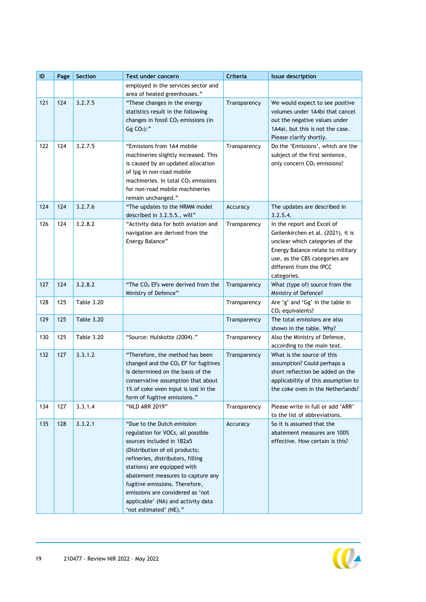| $\sf ID$ | Page | <b>Section</b>    | Text under concern                                                   | Criteria     | <b>Issue description</b>                                           |
|----------|------|-------------------|----------------------------------------------------------------------|--------------|--------------------------------------------------------------------|
|          |      |                   | employed in the services sector and                                  |              |                                                                    |
|          |      |                   | area of heated greenhouses."                                         |              |                                                                    |
| 121      | 124  | 3.2.7.5           | "These changes in the energy<br>statistics result in the following   | Transparency | We would expect to see positive<br>volumes under 1A4bi that cancel |
|          |      |                   | changes in fossil $CO2$ emissions (in                                |              | out the negative values under                                      |
|          |      |                   | $Gg CO2)$ :"                                                         |              | 1A4ai, but this is not the case.                                   |
|          |      |                   |                                                                      |              | Please clarify shortly.                                            |
| 122      | 124  | 3.2.7.5           | "Emissions from 1A4 mobile                                           | Transparency | Do the 'Emissions', which are the                                  |
|          |      |                   | machineries slightly increased. This                                 |              | subject of the first sentence,                                     |
|          |      |                   | is caused by an updated allocation                                   |              | only concern CO <sub>2</sub> emissions?                            |
|          |      |                   | of lpg in non-road mobile                                            |              |                                                                    |
|          |      |                   | machineries. In total CO <sub>2</sub> emissions                      |              |                                                                    |
|          |      |                   | for non-road mobile machineries                                      |              |                                                                    |
| 124      | 124  | 3.2.7.6           | remain unchanged."<br>"The updates to the NRMM model                 | Accuracy     | The updates are described in                                       |
|          |      |                   | described in 3.2.5.5., will"                                         |              | 3.2.5.4.                                                           |
| 126      | 124  | 3.2.8.2           | "Activity data for both aviation and                                 | Transparency | In the report and Excel of                                         |
|          |      |                   | navigation are derived from the                                      |              | Geilenkirchen et al. (2021), it is                                 |
|          |      |                   | Energy Balance"                                                      |              | unclear which categories of the                                    |
|          |      |                   |                                                                      |              | Energy Balance relate to military                                  |
|          |      |                   |                                                                      |              | use, as the CBS categories are<br>different from the IPCC          |
|          |      |                   |                                                                      |              | categories.                                                        |
| 127      | 124  | 3.2.8.2           | "The $CO2$ EFs were derived from the                                 | Transparency | What (type of) source from the                                     |
|          |      |                   | Ministry of Defence"                                                 |              | Ministry of Defence?                                               |
| 128      | 125  | <b>Table 3.20</b> |                                                                      | Transparency | Are 'g' and 'Gg' in the table in                                   |
|          |      |                   |                                                                      |              | $CO2$ equivalents?                                                 |
| 129      | 125  | <b>Table 3.20</b> |                                                                      | Transparency | The total emissions are also<br>shown in the table. Why?           |
| 130      | 125  | <b>Table 3.20</b> | "Source: Hulskotte (2004)."                                          | Transparency | Also the Ministry of Defence,                                      |
|          |      |                   |                                                                      |              | according to the main text.                                        |
| 132      | 127  | 3.3.1.2           | "Therefore, the method has been                                      | Transparency | What is the source of this                                         |
|          |      |                   | changed and the $CO2$ EF for fugitives                               |              | assumption? Could perhaps a                                        |
|          |      |                   | is determined on the basis of the                                    |              | short reflection be added on the                                   |
|          |      |                   | conservative assumption that about                                   |              | applicability of this assumption to                                |
|          |      |                   | 1% of coke oven input is lost in the<br>form of fugitive emissions." |              | the coke oven in the Netherlands?                                  |
| 134      | 127  | 3.3.1.4           | "NLD ARR 2019"                                                       | Transparency | Please write in full or add 'ARR'                                  |
|          |      |                   |                                                                      |              | to the list of abbreviations.                                      |
| 135      | 128  | 3.3.2.1           | "Due to the Dutch emission                                           | Accuracy     | So it is assumed that the                                          |
|          |      |                   | regulation for VOCs, all possible                                    |              | abatement measures are 100%                                        |
|          |      |                   | sources included in 1B2a5                                            |              | effective. How certain is this?                                    |
|          |      |                   | (Distribution of oil products;                                       |              |                                                                    |
|          |      |                   | refineries, distributors, filling                                    |              |                                                                    |
|          |      |                   | stations) are equipped with<br>abatement measures to capture any     |              |                                                                    |
|          |      |                   | fugitive emissions. Therefore,                                       |              |                                                                    |
|          |      |                   | emissions are considered as 'not                                     |              |                                                                    |
|          |      |                   | applicable' (NA) and activity data                                   |              |                                                                    |
|          |      |                   | 'not estimated' (NE)."                                               |              |                                                                    |

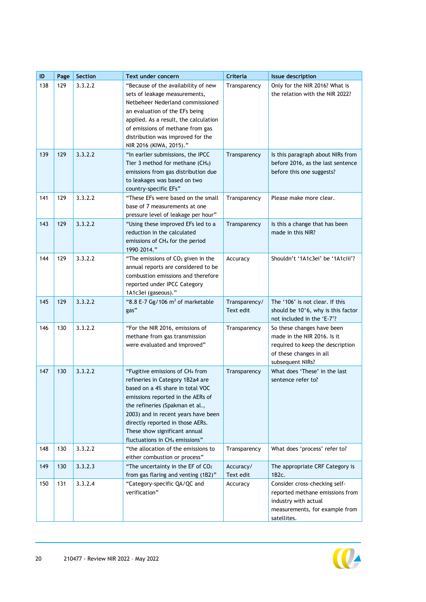| ID  | Page | Section | Text under concern                                                                                                                                                                                                                                                                                                                                    | Criteria                   | <b>Issue description</b>                                                                                                                     |
|-----|------|---------|-------------------------------------------------------------------------------------------------------------------------------------------------------------------------------------------------------------------------------------------------------------------------------------------------------------------------------------------------------|----------------------------|----------------------------------------------------------------------------------------------------------------------------------------------|
| 138 | 129  | 3.3.2.2 | "Because of the availability of new<br>sets of leakage measurements,<br>Netbeheer Nederland commissioned<br>an evaluation of the EFs being<br>applied. As a result, the calculation<br>of emissions of methane from gas<br>distribution was improved for the<br>NIR 2016 (KIWA, 2015)."                                                               | Transparency               | Only for the NIR 2016? What is<br>the relation with the NIR 2022?                                                                            |
| 139 | 129  | 3.3.2.2 | "In earlier submissions, the IPCC<br>Tier 3 method for methane $(CH_4)$<br>emissions from gas distribution due<br>to leakages was based on two<br>country-specific EFs"                                                                                                                                                                               | Transparency               | Is this paragraph about NIRs from<br>before 2016, as the last sentence<br>before this one suggests?                                          |
| 141 | 129  | 3.3.2.2 | "These EFs were based on the small<br>base of 7 measurements at one<br>pressure level of leakage per hour"                                                                                                                                                                                                                                            | Transparency               | Please make more clear.                                                                                                                      |
| 143 | 129  | 3.3.2.2 | "Using these improved EFs led to a<br>reduction in the calculated<br>emissions of CH <sub>4</sub> for the period<br>1990-2014."                                                                                                                                                                                                                       | Transparency               | Is this a change that has been<br>made in this NIR?                                                                                          |
| 144 | 129  | 3.3.2.2 | "The emissions of $CO2$ given in the<br>annual reports are considered to be<br>combustion emissions and therefore<br>reported under IPCC Category<br>1A1c3ei (gaseous)."                                                                                                                                                                              | Accuracy                   | Shouldn't '1A1c3ei' be '1A1ciii'?                                                                                                            |
| 145 | 129  | 3.3.2.2 | "8.8 E-7 Gg/106 $m3$ of marketable<br>gas"                                                                                                                                                                                                                                                                                                            | Transparency/<br>Text edit | The '106' is not clear. If this<br>should be 10^6, why is this factor<br>not included in the 'E-7'?                                          |
| 146 | 130  | 3.3.2.2 | "For the NIR 2016, emissions of<br>methane from gas transmission<br>were evaluated and improved"                                                                                                                                                                                                                                                      | Transparency               | So these changes have been<br>made in the NIR 2016. Is it<br>required to keep the description<br>of these changes in all<br>subsequent NIRs? |
| 147 | 130  | 3.3.2.2 | "Fugitive emissions of CH <sub>4</sub> from<br>refineries in Category 1B2a4 are<br>based on a 4% share in total VOC<br>emissions reported in the AERs of<br>the refineries (Spakman et al.,<br>2003) and in recent years have been<br>directly reported in those AERs.<br>These show significant annual<br>fluctuations in CH <sub>4</sub> emissions" | Transparency               | What does 'These' in the last<br>sentence refer to?                                                                                          |
| 148 | 130  | 3.3.2.2 | "the allocation of the emissions to<br>either combustion or process"                                                                                                                                                                                                                                                                                  | Transparency               | What does 'process' refer to?                                                                                                                |
| 149 | 130  | 3.3.2.3 | "The uncertainty in the EF of CO2<br>from gas flaring and venting (1B2)"                                                                                                                                                                                                                                                                              | Accuracy/<br>Text edit     | The appropriate CRF Category is<br>1B2c.                                                                                                     |
| 150 | 131  | 3.3.2.4 | "Category-specific QA/QC and<br>verification"                                                                                                                                                                                                                                                                                                         | Accuracy                   | Consider cross-checking self-<br>reported methane emissions from<br>industry with actual<br>measurements, for example from<br>satellites.    |